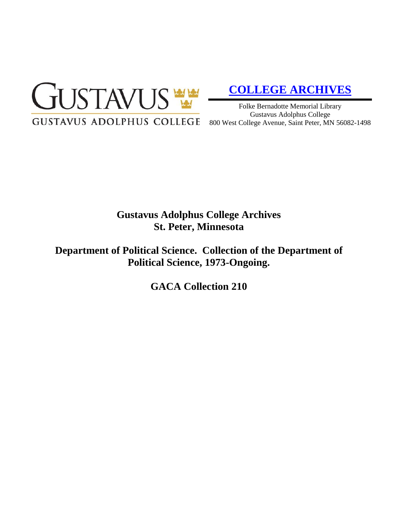

# **[COLLEGE ARCHIVES](http://gustavus.edu/academics/library/archives/)**

Folke Bernadotte Memorial Library Gustavus Adolphus College 800 West College Avenue, Saint Peter, MN 56082-1498

# **Gustavus Adolphus College Archives St. Peter, Minnesota**

**Department of Political Science. Collection of the Department of Political Science, 1973-Ongoing.**

**GACA Collection 210**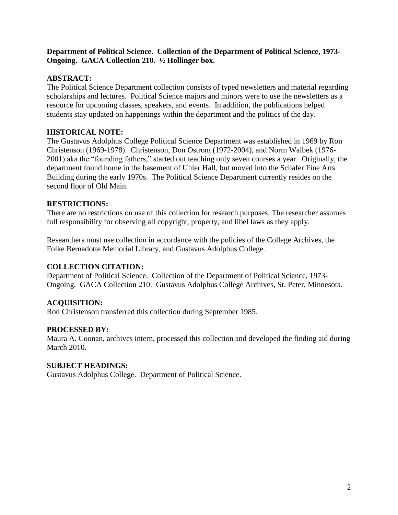#### **Department of Political Science. Collection of the Department of Political Science, 1973- Ongoing. GACA Collection 210. ½ Hollinger box.**

# **ABSTRACT:**

The Political Science Department collection consists of typed newsletters and material regarding scholarships and lectures. Political Science majors and minors were to use the newsletters as a resource for upcoming classes, speakers, and events. In addition, the publications helped students stay updated on happenings within the department and the politics of the day.

# **HISTORICAL NOTE:**

The Gustavus Adolphus College Political Science Department was established in 1969 by Ron Christenson (1969-1978). Christenson, Don Ostrom (1972-2004), and Norm Walbek (1976- 2001) aka the "founding fathers," started out teaching only seven courses a year. Originally, the department found home in the basement of Uhler Hall, but moved into the Schafer Fine Arts Building during the early 1970s. The Political Science Department currently resides on the second floor of Old Main.

# **RESTRICTIONS:**

There are no restrictions on use of this collection for research purposes. The researcher assumes full responsibility for observing all copyright, property, and libel laws as they apply.

Researchers must use collection in accordance with the policies of the College Archives, the Folke Bernadotte Memorial Library, and Gustavus Adolphus College.

## **COLLECTION CITATION:**

Department of Political Science. Collection of the Department of Political Science, 1973- Ongoing. GACA Collection 210. Gustavus Adolphus College Archives, St. Peter, Minnesota.

## **ACQUISITION:**

Ron Christenson transferred this collection during September 1985.

## **PROCESSED BY:**

Maura A. Coonan, archives intern, processed this collection and developed the finding aid during March 2010.

## **SUBJECT HEADINGS:**

Gustavus Adolphus College. Department of Political Science.